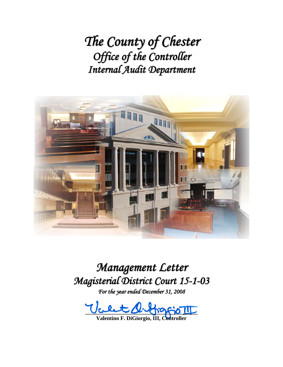*The County of Chester Office of the Controller Internal Audit Department*



*Management Letter Magisterial District Court 15-1-03*

*For the year ended December 31, 2008*

**\_\_\_\_\_\_\_\_\_\_\_\_\_\_\_\_\_\_\_\_\_\_\_\_\_\_\_\_\_\_\_\_\_\_\_\_\_\_\_\_\_** 

**Valentino F. DiGiorgio, III, Controller**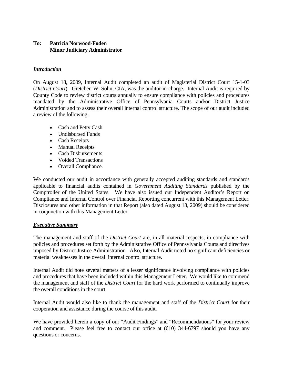### **To: Patricia Norwood-Foden Minor Judiciary Administrator**

### *Introduction*

On August 18, 2009, Internal Audit completed an audit of Magisterial District Court 15-1-03 (*District Court*). Gretchen W. Sohn, CIA, was the auditor-in-charge. Internal Audit is required by County Code to review district courts annually to ensure compliance with policies and procedures mandated by the Administrative Office of Pennsylvania Courts and/or District Justice Administration and to assess their overall internal control structure. The scope of our audit included a review of the following:

- Cash and Petty Cash
- Undisbursed Funds
- Cash Receipts
- Manual Receipts
- Cash Disbursements
- Voided Transactions
- Overall Compliance.

We conducted our audit in accordance with generally accepted auditing standards and standards applicable to financial audits contained in *Government Auditing Standards* published by the Comptroller of the United States. We have also issued our Independent Auditor's Report on Compliance and Internal Control over Financial Reporting concurrent with this Management Letter. Disclosures and other information in that Report (also dated August 18, 2009) should be considered in conjunction with this Management Letter.

#### *Executive Summary*

The management and staff of the *District Court* are, in all material respects, in compliance with policies and procedures set forth by the Administrative Office of Pennsylvania Courts and directives imposed by District Justice Administration. Also, Internal Audit noted no significant deficiencies or material weaknesses in the overall internal control structure.

Internal Audit did note several matters of a lesser significance involving compliance with policies and procedures that have been included within this Management Letter. We would like to commend the management and staff of the *District Court* for the hard work performed to continually improve the overall conditions in the court.

Internal Audit would also like to thank the management and staff of the *District Court* for their cooperation and assistance during the course of this audit.

We have provided herein a copy of our "Audit Findings" and "Recommendations" for your review and comment. Please feel free to contact our office at (610) 344-6797 should you have any questions or concerns.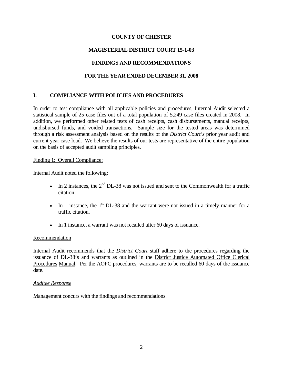## **COUNTY OF CHESTER**

# **MAGISTERIAL DISTRICT COURT 15-1-03**

# **FINDINGS AND RECOMMENDATIONS**

# **FOR THE YEAR ENDED DECEMBER 31, 2008**

# **I. COMPLIANCE WITH POLICIES AND PROCEDURES**

In order to test compliance with all applicable policies and procedures, Internal Audit selected a statistical sample of 25 case files out of a total population of 5,249 case files created in 2008. In addition, we performed other related tests of cash receipts, cash disbursements, manual receipts, undisbursed funds, and voided transactions. Sample size for the tested areas was determined through a risk assessment analysis based on the results of the *District Court's* prior year audit and current year case load. We believe the results of our tests are representative of the entire population on the basis of accepted audit sampling principles.

#### Finding 1: Overall Compliance:

Internal Audit noted the following:

- In 2 instances, the  $2<sup>nd</sup>$  DL-38 was not issued and sent to the Commonwealth for a traffic citation.
- In 1 instance, the  $1<sup>st</sup>$  DL-38 and the warrant were not issued in a timely manner for a traffic citation.
- In 1 instance, a warrant was not recalled after 60 days of issuance.

#### Recommendation

Internal Audit recommends that the *District Court* staff adhere to the procedures regarding the issuance of DL-38's and warrants as outlined in the District Justice Automated Office Clerical Procedures Manual. Per the AOPC procedures, warrants are to be recalled 60 days of the issuance date.

#### *Auditee Response*

Management concurs with the findings and recommendations.